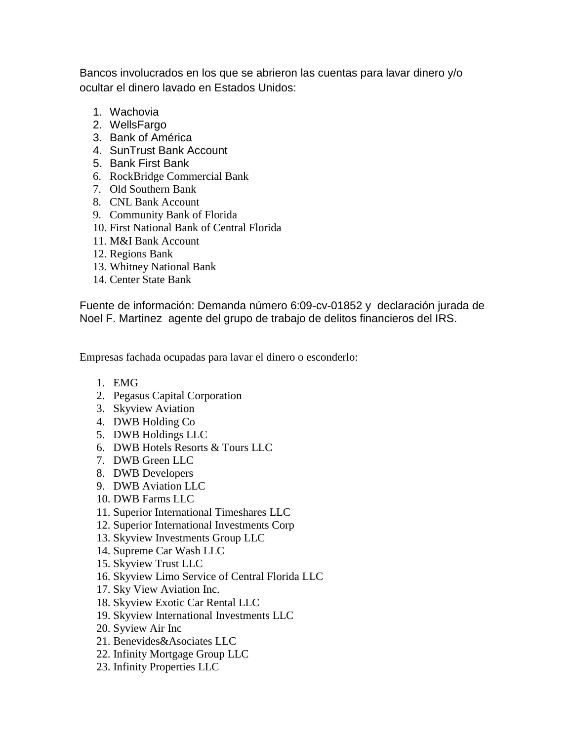Bancos involucrados en los que se abrieron las cuentas para lavar dinero y/o ocultar el dinero lavado en Estados Unidos:

- 1. Wachovia
- 2. WellsFargo
- 3. Bank of América
- 4. SunTrust Bank Account
- 5. Bank First Bank
- 6. RockBridge Commercial Bank
- 7. Old Southern Bank
- 8. CNL Bank Account
- 9. Community Bank of Florida
- 10. First National Bank of Central Florida
- 11. M&I Bank Account
- 12. Regions Bank
- 13. Whitney National Bank
- 14. Center State Bank

Fuente de información: Demanda número 6:09-cv-01852 y declaración jurada de Noel F. Martinez agente del grupo de trabajo de delitos financieros del IRS.

Empresas fachada ocupadas para lavar el dinero o esconderlo:

- 1. EMG
- 2. Pegasus Capital Corporation
- 3. Skyview Aviation
- 4. DWB Holding Co
- 5. DWB Holdings LLC
- 6. DWB Hotels Resorts & Tours LLC
- 7. DWB Green LLC
- 8. DWB Developers
- 9. DWB Aviation LLC
- 10. DWB Farms LLC
- 11. Superior International Timeshares LLC
- 12. Superior International Investments Corp
- 13. Skyview Investments Group LLC
- 14. Supreme Car Wash LLC
- 15. Skyview Trust LLC
- 16. Skyview Limo Service of Central Florida LLC
- 17. Sky View Aviation Inc.
- 18. Skyview Exotic Car Rental LLC
- 19. Skyview International Investments LLC
- 20. Syview Air Inc
- 21. Benevides&Asociates LLC
- 22. Infinity Mortgage Group LLC
- 23. Infinity Properties LLC